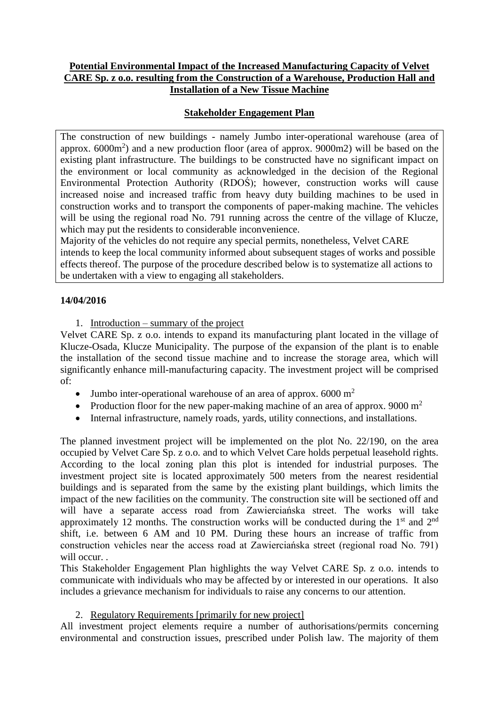### **Potential Environmental Impact of the Increased Manufacturing Capacity of Velvet CARE Sp. z o.o. resulting from the Construction of a Warehouse, Production Hall and Installation of a New Tissue Machine**

# **Stakeholder Engagement Plan**

The construction of new buildings - namely Jumbo inter-operational warehouse (area of approx. 6000m<sup>2</sup> ) and a new production floor (area of approx. 9000m2) will be based on the existing plant infrastructure. The buildings to be constructed have no significant impact on the environment or local community as acknowledged in the decision of the Regional Environmental Protection Authority (RDOŚ); however, construction works will cause increased noise and increased traffic from heavy duty building machines to be used in construction works and to transport the components of paper-making machine. The vehicles will be using the regional road No. 791 running across the centre of the village of Klucze, which may put the residents to considerable inconvenience.

Majority of the vehicles do not require any special permits, nonetheless, Velvet CARE intends to keep the local community informed about subsequent stages of works and possible effects thereof. The purpose of the procedure described below is to systematize all actions to be undertaken with a view to engaging all stakeholders.

### **14/04/2016**

1. Introduction – summary of the project

Velvet CARE Sp. z o.o. intends to expand its manufacturing plant located in the village of Klucze-Osada, Klucze Municipality. The purpose of the expansion of the plant is to enable the installation of the second tissue machine and to increase the storage area, which will significantly enhance mill-manufacturing capacity. The investment project will be comprised of:

- Jumbo inter-operational warehouse of an area of approx.  $6000 \text{ m}^2$
- Production floor for the new paper-making machine of an area of approx. 9000  $m<sup>2</sup>$
- Internal infrastructure, namely roads, yards, utility connections, and installations.

The planned investment project will be implemented on the plot No. 22/190, on the area occupied by Velvet Care Sp. z o.o. and to which Velvet Care holds perpetual leasehold rights. According to the local zoning plan this plot is intended for industrial purposes. The investment project site is located approximately 500 meters from the nearest residential buildings and is separated from the same by the existing plant buildings, which limits the impact of the new facilities on the community. The construction site will be sectioned off and will have a separate access road from Zawierciańska street. The works will take approximately 12 months. The construction works will be conducted during the  $1<sup>st</sup>$  and  $2<sup>nd</sup>$ shift, i.e. between 6 AM and 10 PM. During these hours an increase of traffic from construction vehicles near the access road at Zawierciańska street (regional road No. 791) will occur.

This Stakeholder Engagement Plan highlights the way Velvet CARE Sp. z o.o. intends to communicate with individuals who may be affected by or interested in our operations. It also includes a grievance mechanism for individuals to raise any concerns to our attention.

### 2. Regulatory Requirements [primarily for new project]

All investment project elements require a number of authorisations/permits concerning environmental and construction issues, prescribed under Polish law. The majority of them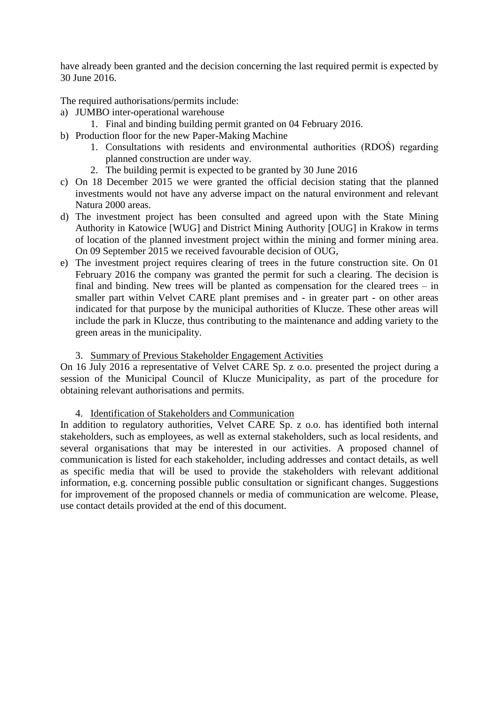have already been granted and the decision concerning the last required permit is expected by 30 June 2016.

The required authorisations/permits include:

- a) JUMBO inter-operational warehouse
	- 1. Final and binding building permit granted on 04 February 2016.
- b) Production floor for the new Paper-Making Machine
	- 1. Consultations with residents and environmental authorities (RDOŚ) regarding planned construction are under way.
	- 2. The building permit is expected to be granted by 30 June 2016
- c) On 18 December 2015 we were granted the official decision stating that the planned investments would not have any adverse impact on the natural environment and relevant Natura 2000 areas.
- d) The investment project has been consulted and agreed upon with the State Mining Authority in Katowice [WUG] and District Mining Authority [OUG] in Krakow in terms of location of the planned investment project within the mining and former mining area. On 09 September 2015 we received favourable decision of OUG,
- e) The investment project requires clearing of trees in the future construction site. On 01 February 2016 the company was granted the permit for such a clearing. The decision is final and binding. New trees will be planted as compensation for the cleared trees – in smaller part within Velvet CARE plant premises and - in greater part - on other areas indicated for that purpose by the municipal authorities of Klucze. These other areas will include the park in Klucze, thus contributing to the maintenance and adding variety to the green areas in the municipality.

#### 3. Summary of Previous Stakeholder Engagement Activities

On 16 July 2016 a representative of Velvet CARE Sp. z o.o. presented the project during a session of the Municipal Council of Klucze Municipality, as part of the procedure for obtaining relevant authorisations and permits.

#### 4. Identification of Stakeholders and Communication

In addition to regulatory authorities, Velvet CARE Sp. z o.o. has identified both internal stakeholders, such as employees, as well as external stakeholders, such as local residents, and several organisations that may be interested in our activities. A proposed channel of communication is listed for each stakeholder, including addresses and contact details, as well as specific media that will be used to provide the stakeholders with relevant additional information, e.g. concerning possible public consultation or significant changes. Suggestions for improvement of the proposed channels or media of communication are welcome. Please, use contact details provided at the end of this document.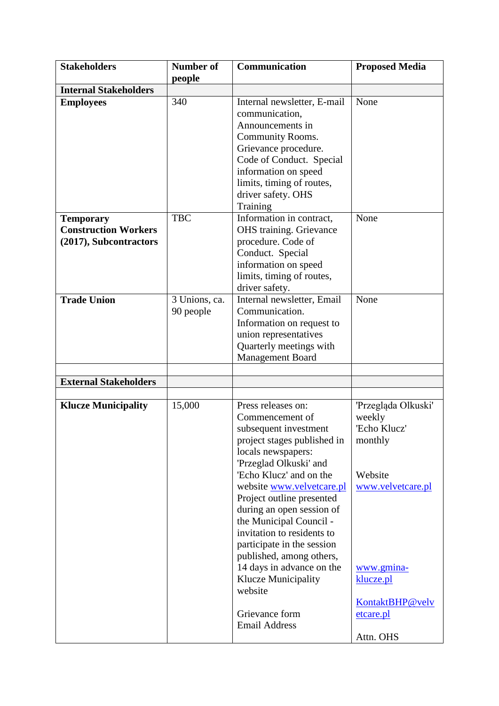| <b>Stakeholders</b>                                                       | <b>Number of</b>           | Communication                                                                                                                                                                                                                                                                                                                                                                                                                                                                                      | <b>Proposed Media</b>                                                                                                                                            |
|---------------------------------------------------------------------------|----------------------------|----------------------------------------------------------------------------------------------------------------------------------------------------------------------------------------------------------------------------------------------------------------------------------------------------------------------------------------------------------------------------------------------------------------------------------------------------------------------------------------------------|------------------------------------------------------------------------------------------------------------------------------------------------------------------|
|                                                                           | people                     |                                                                                                                                                                                                                                                                                                                                                                                                                                                                                                    |                                                                                                                                                                  |
| <b>Internal Stakeholders</b>                                              |                            |                                                                                                                                                                                                                                                                                                                                                                                                                                                                                                    |                                                                                                                                                                  |
| <b>Employees</b>                                                          | 340                        | Internal newsletter, E-mail<br>communication,<br>Announcements in<br>Community Rooms.<br>Grievance procedure.<br>Code of Conduct. Special<br>information on speed<br>limits, timing of routes,<br>driver safety. OHS<br>Training                                                                                                                                                                                                                                                                   | None                                                                                                                                                             |
| <b>Temporary</b><br><b>Construction Workers</b><br>(2017), Subcontractors | <b>TBC</b>                 | Information in contract,<br><b>OHS</b> training. Grievance<br>procedure. Code of<br>Conduct. Special<br>information on speed                                                                                                                                                                                                                                                                                                                                                                       | None                                                                                                                                                             |
|                                                                           |                            | limits, timing of routes,<br>driver safety.                                                                                                                                                                                                                                                                                                                                                                                                                                                        |                                                                                                                                                                  |
| <b>Trade Union</b>                                                        | 3 Unions, ca.<br>90 people | Internal newsletter, Email<br>Communication.<br>Information on request to<br>union representatives<br>Quarterly meetings with<br><b>Management Board</b>                                                                                                                                                                                                                                                                                                                                           | None                                                                                                                                                             |
|                                                                           |                            |                                                                                                                                                                                                                                                                                                                                                                                                                                                                                                    |                                                                                                                                                                  |
| <b>External Stakeholders</b>                                              |                            |                                                                                                                                                                                                                                                                                                                                                                                                                                                                                                    |                                                                                                                                                                  |
| <b>Klucze Municipality</b>                                                | 15,000                     | Press releases on:<br>Commencement of<br>subsequent investment<br>project stages published in<br>locals newspapers:<br>'Przeglad Olkuski' and<br>'Echo Klucz' and on the<br>website www.velvetcare.pl<br>Project outline presented<br>during an open session of<br>the Municipal Council -<br>invitation to residents to<br>participate in the session<br>published, among others,<br>14 days in advance on the<br><b>Klucze Municipality</b><br>website<br>Grievance form<br><b>Email Address</b> | 'Przegląda Olkuski'<br>weekly<br>'Echo Klucz'<br>monthly<br>Website<br>www.velvetcare.pl<br>www.gmina-<br>klucze.pl<br>KontaktBHP@velv<br>etcare.pl<br>Attn. OHS |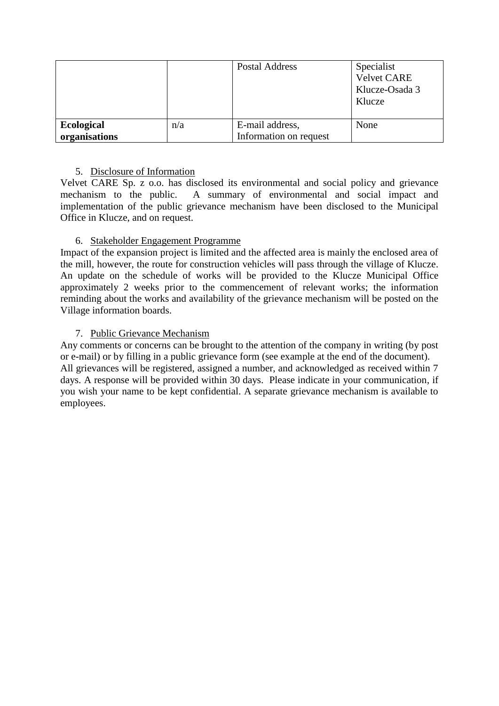|                                    |     | Postal Address                            | Specialist<br><b>Velvet CARE</b><br>Klucze-Osada 3<br>Klucze |
|------------------------------------|-----|-------------------------------------------|--------------------------------------------------------------|
| <b>Ecological</b><br>organisations | n/a | E-mail address,<br>Information on request | None                                                         |

## 5. Disclosure of Information

Velvet CARE Sp. z o.o. has disclosed its environmental and social policy and grievance mechanism to the public. A summary of environmental and social impact and implementation of the public grievance mechanism have been disclosed to the Municipal Office in Klucze, and on request.

# 6. Stakeholder Engagement Programme

Impact of the expansion project is limited and the affected area is mainly the enclosed area of the mill, however, the route for construction vehicles will pass through the village of Klucze. An update on the schedule of works will be provided to the Klucze Municipal Office approximately 2 weeks prior to the commencement of relevant works; the information reminding about the works and availability of the grievance mechanism will be posted on the Village information boards.

# 7. Public Grievance Mechanism

Any comments or concerns can be brought to the attention of the company in writing (by post or e-mail) or by filling in a public grievance form (see example at the end of the document). All grievances will be registered, assigned a number, and acknowledged as received within 7 days. A response will be provided within 30 days. Please indicate in your communication, if you wish your name to be kept confidential. A separate grievance mechanism is available to employees.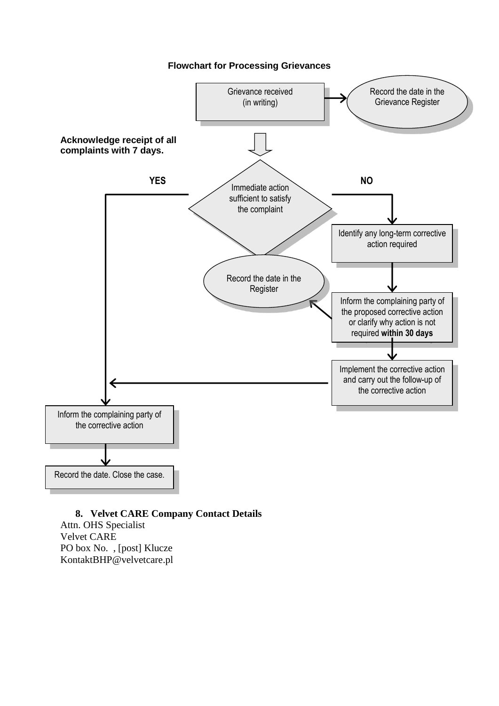

#### **8. Velvet CARE Company Contact Details**

Attn. OHS Specialist Velvet CARE PO box No. , [post] Klucze KontaktBHP@velvetcare.pl